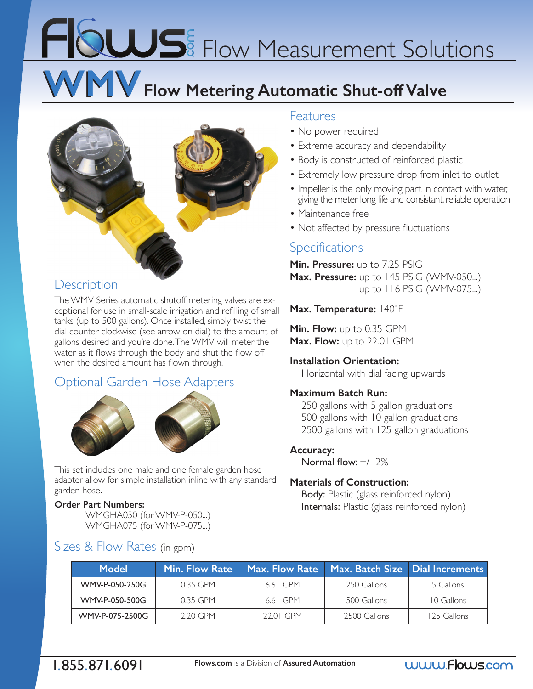# FIQUUS<sup>E</sup> Flow Measurement Solutions

## **WMV Flow Metering Automatic Shut-off Valve**



### **Description**

The WMV Series automatic shutoff metering valves are exceptional for use in small-scale irrigation and refilling of small tanks (up to 500 gallons). Once installed, simply twist the dial counter clockwise (see arrow on dial) to the amount of gallons desired and you're done. The WMV will meter the water as it flows through the body and shut the flow off when the desired amount has flown through.

## Optional Garden Hose Adapters





This set includes one male and one female garden hose adapter allow for simple installation inline with any standard garden hose.

#### **Order Part Numbers:**

WMGHA050 (for WMV-P-050...) WMGHA075 (for WMV-P-075...)

## Sizes & Flow Rates (in gpm)

#### Features

- No power required
- Extreme accuracy and dependability
- Body is constructed of reinforced plastic
- Extremely low pressure drop from inlet to outlet
- Impeller is the only moving part in contact with water, giving the meter long life and consistant, reliable operation
- Maintenance free
- Not affected by pressure fluctuations

### **Specifications**

**Min. Pressure:** up to 7.25 PSIG **Max. Pressure:** up to 145 PSIG (WMV-050...) up to 116 PSIG (WMV-075...)

#### **Max. Temperature:** 140˚F

**Min. Flow:** up to 0.35 GPM **Max. Flow:** up to 22.01 GPM

#### **Installation Orientation:**

Horizontal with dial facing upwards

#### **Maximum Batch Run:**

 250 gallons with 5 gallon graduations 500 gallons with 10 gallon graduations 2500 gallons with 125 gallon graduations

#### **Accuracy:**

Normal flow: +/- 2%

#### **Materials of Construction:**

Body: Plastic (glass reinforced nylon) Internals: Plastic (glass reinforced nylon)

| Model           | Min. Flow Rate | Max. Flow Rate | <b>Max. Batch Size   Dial Increments</b> |             |
|-----------------|----------------|----------------|------------------------------------------|-------------|
| WMV-P-050-250G  | $0.35$ GPM     | 6.61 GPM       | 250 Gallons                              | 5 Gallons   |
| WMV-P-050-500G  | $0.35$ GPM     | 6.61 GPM       | 500 Gallons                              | 10 Gallons  |
| WMV-P-075-2500G | 2.20 GPM       | $22.01$ GPM    | 2500 Gallons                             | 125 Gallons |